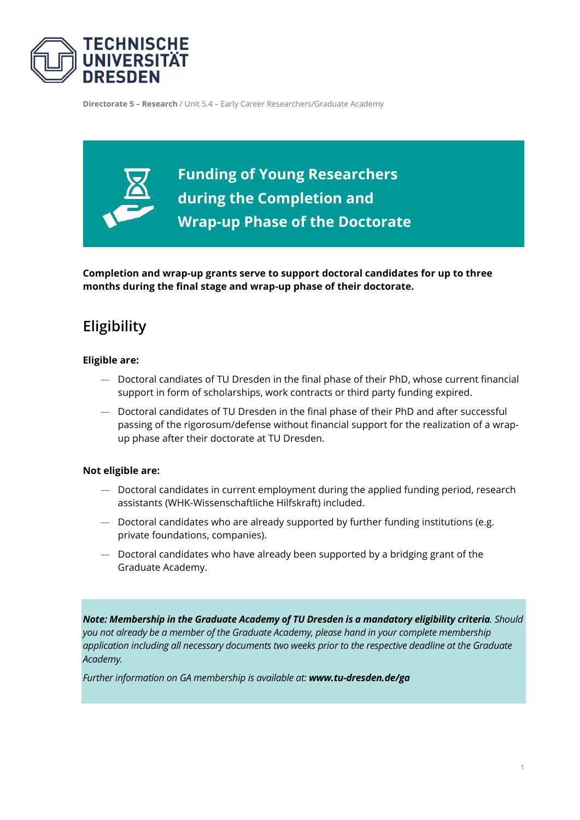

**Directorate 5 – Research** / Unit 5.4 – Early Career Researchers/Graduate Academy

**Funding of Young Researchers during the Completion and Wrap-up Phase of the Doctorate**

**Completion and wrap-up grants serve to support doctoral candidates for up to three months during the final stage and wrap-up phase of their doctorate.**

# **Eligibility**

#### **Eligible are:**

- Doctoral candiates of TU Dresden in the final phase of their PhD, whose current financial support in form of scholarships, work contracts or third party funding expired.
- Doctoral candidates of TU Dresden in the final phase of their PhD and after successful passing of the rigorosum/defense without financial support for the realization of a wrapup phase after their doctorate at TU Dresden.

#### **Not eligible are:**

- Doctoral candidates in current employment during the applied funding period, research assistants (WHK-Wissenschaftliche Hilfskraft) included.
- Doctoral candidates who are already supported by further funding institutions (e.g. private foundations, companies).
- Doctoral candidates who have already been supported by a bridging grant of the Graduate Academy.

*Note: Membership in the Graduate Academy of TU Dresden is a mandatory eligibility criteria. Should you not already be a member of the Graduate Academy, please hand in your complete membership application including all necessary documents two weeks prior to the respective deadline at the Graduate Academy.*

*Further information on GA membership is available at: [www.tu-dresden.de/ga](http://www.tu-dresden.de/ga)*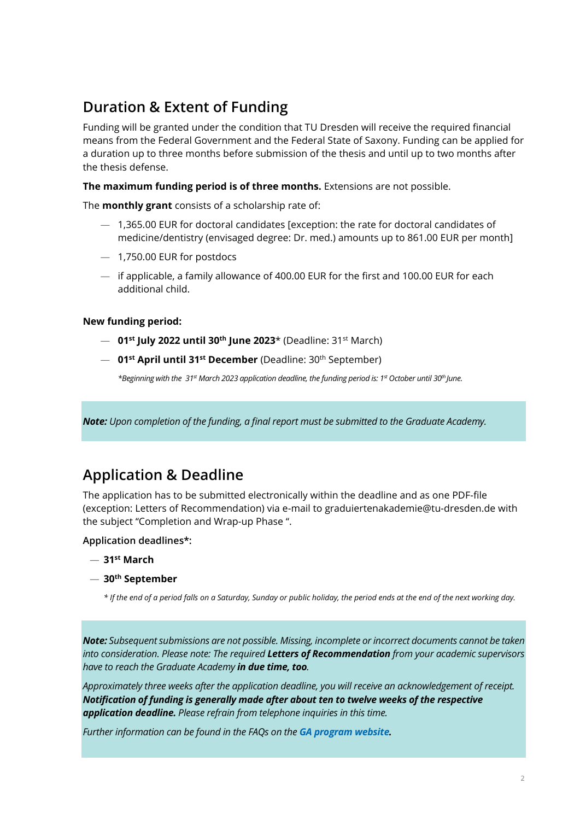# **Duration & Extent of Funding**

Funding will be granted under the condition that TU Dresden will receive the required financial means from the Federal Government and the Federal State of Saxony. Funding can be applied for a duration up to three months before submission of the thesis and until up to two months after the thesis defense.

**The maximum funding period is of three months.** Extensions are not possible.

The **monthly grant** consists of a scholarship rate of:

- 1,365.00 EUR for doctoral candidates [exception: the rate for doctoral candidates of medicine/dentistry (envisaged degree: Dr. med.) amounts up to 861.00 EUR per month]
- 1,750.00 EUR for postdocs
- if applicable, a family allowance of 400.00 EUR for the first and 100.00 EUR for each additional child.

### **New funding period:**

- **01st July 2022 until 30th June 2023**\* (Deadline: 31st March)
- **01st April until 31st December** (Deadline: 30th September)

*\*Beginning with the 31st March 2023 application deadline, the funding period is: 1st October until 30th June.*

*Note: Upon completion of the funding, a final report must be submitted to the Graduate Academy.*

## **Application & Deadline**

The application has to be submitted electronically within the deadline and as one PDF-file (exception: Letters of Recommendation) via e-mail to graduiertenakademie@tu-dresden.de with the subject "Completion and Wrap-up Phase ".

### **Application deadlines\*:**

- **31st March**
- **30th September**

*\* If the end of a period falls on a Saturday, Sunday or public holiday, the period ends at the end of the next working day.*

*Note: Subsequent submissions are not possible. Missing, incomplete or incorrect documents cannot be taken into consideration. Please note: The required Letters of Recommendation from your academic supervisors have to reach the Graduate Academy in due time, too.*

*Approximately three weeks after the application deadline, you will receive an acknowledgement of receipt. Notification of funding is generally made after about ten to twelve weeks of the respective application deadline. Please refrain from telephone inquiries in this time.*

*Further information can be found in the FAQs on the [GA program website.](https://tu-dresden.de/ga/finanzierung/foerderangebote-ga/promotionsfoerderung/stipendien-waehrend-der-abschluss-und?set_language=en)*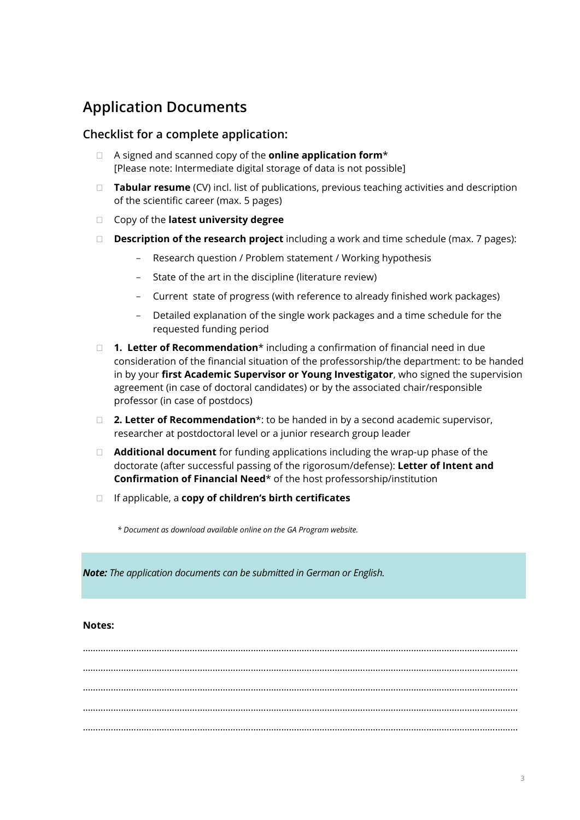## **Application Documents**

## **Checklist for a complete application:**

- A signed and scanned copy of the **online application form**\* [Please note: Intermediate digital storage of data is not possible]
- **Tabular resume** (CV) incl. list of publications, previous teaching activities and description of the scientific career (max. 5 pages)
- Copy of the **latest university degree**
- **Description of the research project** including a work and time schedule (max. 7 pages):
	- Research question / Problem statement / Working hypothesis
	- State of the art in the discipline (literature review)
	- Current state of progress (with reference to already finished work packages)
	- Detailed explanation of the single work packages and a time schedule for the requested funding period
- **1. Letter of Recommendation**\* including a confirmation of financial need in due consideration of the financial situation of the professorship/the department: to be handed in by your **first Academic Supervisor or Young Investigator**, who signed the supervision agreement (in case of doctoral candidates) or by the associated chair/responsible professor (in case of postdocs)
- **2. Letter of Recommendation**\*: to be handed in by a second academic supervisor, researcher at postdoctoral level or a junior research group leader
- **Additional document** for funding applications including the wrap-up phase of the doctorate (after successful passing of the rigorosum/defense): **Letter of Intent and Confirmation of Financial Need**\* of the host professorship/institution
- If applicable, a **copy of children's birth certificates**

*\* Document as download available online on the GA Program website.* 

*Note: The application documents can be submitted in German or English.*

### **Notes:**